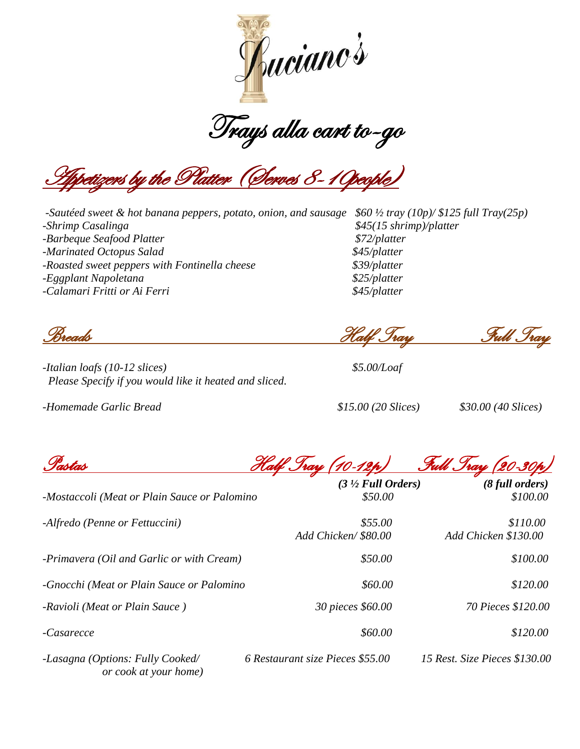

.<br><u>Ex</u>ers by the Platter (Gerves 8–10people)

*-Sautéed sweet & hot banana peppers, potato, onion, and sausage \$60 ½ tray (10p)/ \$125 full Tray(25p) -Shrimp Casalinga \$45(15 shrimp)/platter Barbeque Seafood Platter <i>\$72/platter Adminated Octopus Salad \$45/platter \$45/platter -Roasted sweet peppers with Fontinella cheese \$39/platter -Eggplant Napoletana \$25/platter -Calamari Fritti or Ai Ferri \$45/platter*

*-Italian loafs (10-12 slices) \$5.00/Loaf Please Specify if you would like it heated and sliced.*

*-Homemade Garlic Bread \$15.00 (20 Slices) \$30.00 (40 Slices)*

*Breads Half Tray Full Tray*

*Pastas Half Tray (10-12p) Full Tray (20-30p)* 

|                                                           | $(3 \frac{1}{2}$ Full Orders)    | $(8$ full orders)             |
|-----------------------------------------------------------|----------------------------------|-------------------------------|
| -Mostaccoli (Meat or Plain Sauce or Palomino              | \$50.00                          | \$100.00                      |
| -Alfredo (Penne or Fettuccini)                            | \$55.00                          | \$110.00                      |
|                                                           | Add Chicken/\$80.00              | Add Chicken \$130.00          |
| -Primavera (Oil and Garlic or with Cream)                 | \$50.00                          | \$100.00                      |
| -Gnocchi (Meat or Plain Sauce or Palomino                 | \$60.00                          | \$120.00                      |
| -Ravioli (Meat or Plain Sauce)                            | 30 pieces \$60.00                | 70 Pieces \$120.00            |
| -Casarecce                                                | \$60.00                          | \$120.00                      |
| -Lasagna (Options: Fully Cooked/<br>or cook at your home) | 6 Restaurant size Pieces \$55.00 | 15 Rest. Size Pieces \$130.00 |